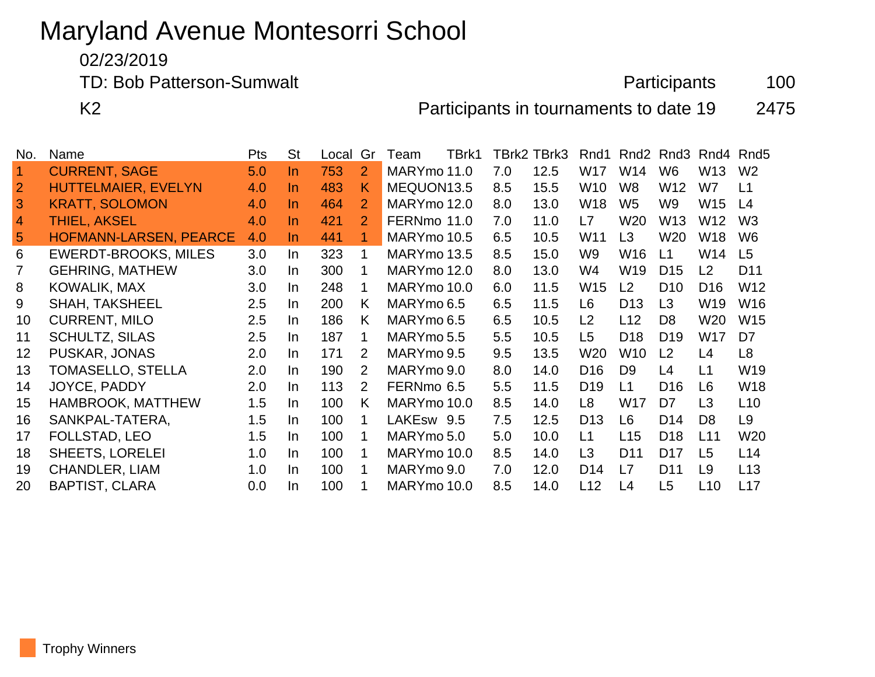# Maryland Avenue Montesorri School

02/23/2019

TD: Bob Patterson-Sumwalt **Participants** 100

K2 **Participants in tournaments to date 19** 2475

| No.                  | Name                          | <b>Pts</b> | <b>St</b> | Local | Gr             | Team        | TBrk1 |     | TBrk2 TBrk3 | Rnd1            | Rnd <sub>2</sub> | Rnd3            |                 | Rnd4 Rnd5       |
|----------------------|-------------------------------|------------|-----------|-------|----------------|-------------|-------|-----|-------------|-----------------|------------------|-----------------|-----------------|-----------------|
| $\blacktriangleleft$ | <b>CURRENT, SAGE</b>          | 5.0        | In.       | 753   | 2              | MARYmo 11.0 |       | 7.0 | 12.5        | W17             | W14              | W <sub>6</sub>  | W13             | W <sub>2</sub>  |
| $\overline{2}$       | HUTTELMAIER, EVELYN           | 4.0        | <u>In</u> | 483   | K              | MEQUON13.5  |       | 8.5 | 15.5        | W10             | W <sub>8</sub>   | W12             | W7              | L1              |
| 3                    | <b>KRATT, SOLOMON</b>         | 4.0        | In.       | 464   | 2              | MARYmo 12.0 |       | 8.0 | 13.0        | W <sub>18</sub> | W <sub>5</sub>   | W <sub>9</sub>  | W15             | L4              |
| $\overline{4}$       | <b>THIEL, AKSEL</b>           | 4.0        | $\ln$     | 421   | 2              | FERNmo 11.0 |       | 7.0 | 11.0        | L7              | W <sub>20</sub>  | W <sub>13</sub> | W <sub>12</sub> | W <sub>3</sub>  |
| 5                    | <b>HOFMANN-LARSEN, PEARCE</b> | 4.0        | $\ln$     | 441   | $\mathbf 1$    | MARYmo 10.5 |       | 6.5 | 10.5        | W <sub>11</sub> | L <sub>3</sub>   | W <sub>20</sub> | W <sub>18</sub> | W <sub>6</sub>  |
| 6                    | <b>EWERDT-BROOKS, MILES</b>   | 3.0        | In        | 323   | 1              | MARYmo 13.5 |       | 8.5 | 15.0        | W <sub>9</sub>  | W16              | L1              | W14             | L <sub>5</sub>  |
| 7                    | <b>GEHRING, MATHEW</b>        | 3.0        | In.       | 300   |                | MARYmo 12.0 |       | 8.0 | 13.0        | W4              | W19              | D <sub>15</sub> | L2              | D <sub>11</sub> |
| 8                    | KOWALIK, MAX                  | 3.0        | $\ln$     | 248   | 1              | MARYmo 10.0 |       | 6.0 | 11.5        | W <sub>15</sub> | L2               | D <sub>10</sub> | D <sub>16</sub> | W12             |
| 9                    | <b>SHAH, TAKSHEEL</b>         | 2.5        | In.       | 200   | K.             | MARYmo 6.5  |       | 6.5 | 11.5        | L6              | D <sub>13</sub>  | L3              | W19             | W16             |
| 10                   | <b>CURRENT, MILO</b>          | 2.5        | In        | 186   | K.             | MARYmo 6.5  |       | 6.5 | 10.5        | L2              | L12              | D <sub>8</sub>  | W20             | W15             |
| 11                   | <b>SCHULTZ, SILAS</b>         | 2.5        | In.       | 187   | 1              | MARYmo 5.5  |       | 5.5 | 10.5        | L <sub>5</sub>  | D <sub>18</sub>  | D <sub>19</sub> | W17             | D7              |
| 12                   | PUSKAR, JONAS                 | 2.0        | In.       | 171   | 2              | MARYmo 9.5  |       | 9.5 | 13.5        | W20             | W <sub>10</sub>  | L2              | L4              | L <sub>8</sub>  |
| 13                   | <b>TOMASELLO, STELLA</b>      | 2.0        | $\ln$     | 190   | $\overline{2}$ | MARYmo 9.0  |       | 8.0 | 14.0        | D <sub>16</sub> | D <sub>9</sub>   | L4              | L1              | W19             |
| 14                   | JOYCE, PADDY                  | 2.0        | In.       | 113   | 2              | FERNmo 6.5  |       | 5.5 | 11.5        | D <sub>19</sub> | L1               | D <sub>16</sub> | L6              | <b>W18</b>      |
| 15                   | <b>HAMBROOK, MATTHEW</b>      | 1.5        | $\ln$     | 100   | K.             | MARYmo 10.0 |       | 8.5 | 14.0        | L <sub>8</sub>  | W17              | D7              | L <sub>3</sub>  | L <sub>10</sub> |
| 16                   | SANKPAL-TATERA,               | 1.5        | In.       | 100   | 1              | LAKEsw 9.5  |       | 7.5 | 12.5        | D <sub>13</sub> | L6               | D <sub>14</sub> | D <sub>8</sub>  | L9              |
| 17                   | FOLLSTAD, LEO                 | 1.5        | $\ln$     | 100   | 1              | MARYmo 5.0  |       | 5.0 | 10.0        | L1              | L15              | D <sub>18</sub> | L11             | W <sub>20</sub> |
| 18                   | <b>SHEETS, LORELEI</b>        | 1.0        | $\ln$     | 100   | 1              | MARYmo 10.0 |       | 8.5 | 14.0        | L <sub>3</sub>  | D <sub>11</sub>  | D <sub>17</sub> | L <sub>5</sub>  | L14             |
| 19                   | <b>CHANDLER, LIAM</b>         | 1.0        | In.       | 100   |                | MARYmo 9.0  |       | 7.0 | 12.0        | D <sub>14</sub> | L7               | D <sub>11</sub> | L9              | L13             |
| 20                   | <b>BAPTIST, CLARA</b>         | 0.0        | In.       | 100   |                | MARYmo 10.0 |       | 8.5 | 14.0        | L12             | L4               | L <sub>5</sub>  | L <sub>10</sub> | L17             |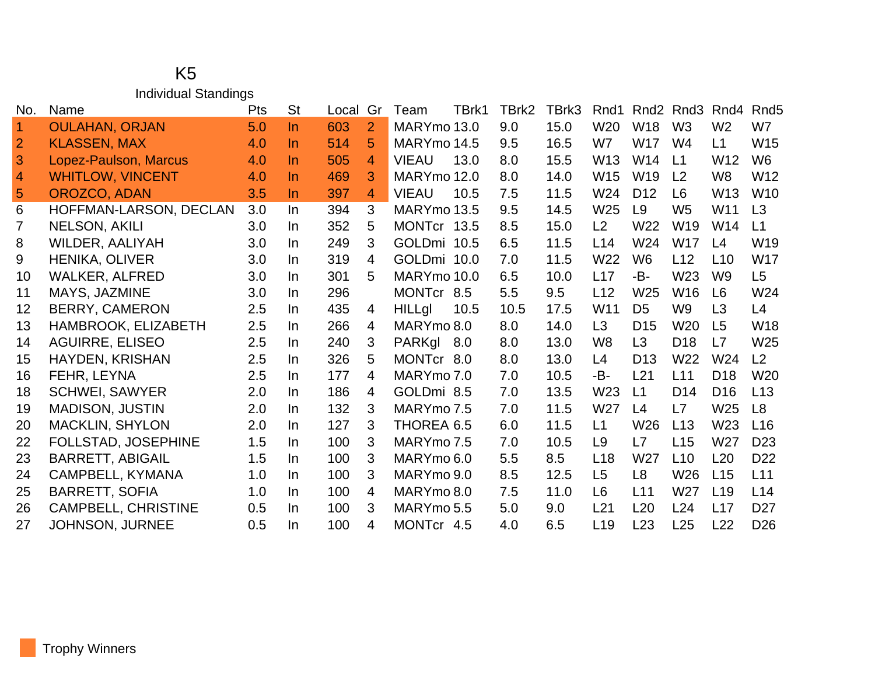#### K5 Individual Standings

| No.            | Name                       | Pts | <b>St</b> | Local | Gr             | Team          | TBrk1 | TBrk2 | TBrk3 | Rnd1            |                 | Rnd <sub>2</sub> Rnd <sub>3</sub> | Rnd4            | Rnd <sub>5</sub> |
|----------------|----------------------------|-----|-----------|-------|----------------|---------------|-------|-------|-------|-----------------|-----------------|-----------------------------------|-----------------|------------------|
| $\overline{1}$ | <b>OULAHAN, ORJAN</b>      | 5.0 | $\ln$     | 603   | $\overline{2}$ | MARYmo 13.0   |       | 9.0   | 15.0  | W <sub>20</sub> | W18             | W <sub>3</sub>                    | W <sub>2</sub>  | W7               |
| $\overline{2}$ | <b>KLASSEN, MAX</b>        | 4.0 | In.       | 514   | 5              | MARYmo 14.5   |       | 9.5   | 16.5  | W7              | <b>W17</b>      | W <sub>4</sub>                    | L1              | W15              |
| 3              | Lopez-Paulson, Marcus      | 4.0 | In.       | 505   | 4              | <b>VIEAU</b>  | 13.0  | 8.0   | 15.5  | W <sub>13</sub> | W14             | L1                                | W <sub>12</sub> | W <sub>6</sub>   |
| $\overline{4}$ | <b>WHITLOW, VINCENT</b>    | 4.0 | In.       | 469   | 3              | MARYmo 12.0   |       | 8.0   | 14.0  | W15             | W <sub>19</sub> | L <sub>2</sub>                    | W <sub>8</sub>  | W12              |
| $\overline{5}$ | OROZCO, ADAN               | 3.5 | In.       | 397   | $\overline{4}$ | <b>VIEAU</b>  | 10.5  | 7.5   | 11.5  | W24             | D <sub>12</sub> | L <sub>6</sub>                    | W <sub>13</sub> | W <sub>10</sub>  |
| 6              | HOFFMAN-LARSON, DECLAN     | 3.0 | In.       | 394   | 3              | MARYmo 13.5   |       | 9.5   | 14.5  | W <sub>25</sub> | L9              | W <sub>5</sub>                    | W11             | L3               |
| 7              | <b>NELSON, AKILI</b>       | 3.0 | In.       | 352   | 5              | MONTcr 13.5   |       | 8.5   | 15.0  | L2              | W <sub>22</sub> | W <sub>19</sub>                   | W14             | L1               |
| 8              | WILDER, AALIYAH            | 3.0 | In.       | 249   | 3              | GOLDmi 10.5   |       | 6.5   | 11.5  | L14             | W <sub>24</sub> | <b>W17</b>                        | L4              | W <sub>19</sub>  |
| 9              | <b>HENIKA, OLIVER</b>      | 3.0 | In.       | 319   | 4              | GOLDmi 10.0   |       | 7.0   | 11.5  | W <sub>22</sub> | W <sub>6</sub>  | L12                               | L10             | <b>W17</b>       |
| 10             | <b>WALKER, ALFRED</b>      | 3.0 | In.       | 301   | 5              | MARYmo 10.0   |       | 6.5   | 10.0  | L17             | -B-             | W <sub>23</sub>                   | W <sub>9</sub>  | L5               |
| 11             | MAYS, JAZMINE              | 3.0 | In.       | 296   |                | MONTcr 8.5    |       | 5.5   | 9.5   | L12             | W <sub>25</sub> | W <sub>16</sub>                   | L <sub>6</sub>  | W24              |
| 12             | <b>BERRY, CAMERON</b>      | 2.5 | In.       | 435   | $\overline{4}$ | <b>HILLgI</b> | 10.5  | 10.5  | 17.5  | W <sub>11</sub> | D <sub>5</sub>  | W <sub>9</sub>                    | L3              | L4               |
| 13             | HAMBROOK, ELIZABETH        | 2.5 | In.       | 266   | 4              | MARYmo 8.0    |       | 8.0   | 14.0  | L3              | D <sub>15</sub> | W <sub>20</sub>                   | L <sub>5</sub>  | W18              |
| 14             | <b>AGUIRRE, ELISEO</b>     | 2.5 | In.       | 240   | 3              | PARKgl 8.0    |       | 8.0   | 13.0  | W <sub>8</sub>  | L <sub>3</sub>  | D <sub>18</sub>                   | L7              | W <sub>25</sub>  |
| 15             | HAYDEN, KRISHAN            | 2.5 | In.       | 326   | 5              | MONTcr 8.0    |       | 8.0   | 13.0  | L4              | D <sub>13</sub> | W <sub>22</sub>                   | W24             | L2               |
| 16             | FEHR, LEYNA                | 2.5 | In.       | 177   | 4              | MARYmo 7.0    |       | 7.0   | 10.5  | -B-             | L21             | L11                               | D <sub>18</sub> | W <sub>20</sub>  |
| 18             | <b>SCHWEI, SAWYER</b>      | 2.0 | In.       | 186   | 4              | GOLDmi 8.5    |       | 7.0   | 13.5  | W23             | L1              | D <sub>14</sub>                   | D <sub>16</sub> | L13              |
| 19             | <b>MADISON, JUSTIN</b>     | 2.0 | In.       | 132   | 3              | MARYmo 7.5    |       | 7.0   | 11.5  | W27             | L4              | L7                                | W <sub>25</sub> | L8               |
| 20             | <b>MACKLIN, SHYLON</b>     | 2.0 | In.       | 127   | 3              | THOREA 6.5    |       | 6.0   | 11.5  | L1              | W26             | L13                               | W23             | L16              |
| 22             | <b>FOLLSTAD, JOSEPHINE</b> | 1.5 | In.       | 100   | 3              | MARYmo 7.5    |       | 7.0   | 10.5  | L9              | L7              | L15                               | W <sub>27</sub> | D <sub>23</sub>  |
| 23             | <b>BARRETT, ABIGAIL</b>    | 1.5 | In.       | 100   | 3              | MARYmo 6.0    |       | 5.5   | 8.5   | L18             | W27             | L10                               | L20             | D <sub>22</sub>  |
| 24             | CAMPBELL, KYMANA           | 1.0 | In.       | 100   | 3              | MARYmo 9.0    |       | 8.5   | 12.5  | L <sub>5</sub>  | L <sub>8</sub>  | W26                               | L15             | L11              |
| 25             | <b>BARRETT, SOFIA</b>      | 1.0 | In.       | 100   | $\overline{4}$ | MARYmo 8.0    |       | 7.5   | 11.0  | L <sub>6</sub>  | L11             | W <sub>27</sub>                   | L19             | L14              |
| 26             | <b>CAMPBELL, CHRISTINE</b> | 0.5 | In.       | 100   | 3              | MARYmo 5.5    |       | 5.0   | 9.0   | L21             | L20             | L24                               | L17             | D <sub>27</sub>  |
| 27             | <b>JOHNSON, JURNEE</b>     | 0.5 | In.       | 100   | 4              | MONTcr 4.5    |       | 4.0   | 6.5   | L <sub>19</sub> | L23             | L25                               | L22             | D <sub>26</sub>  |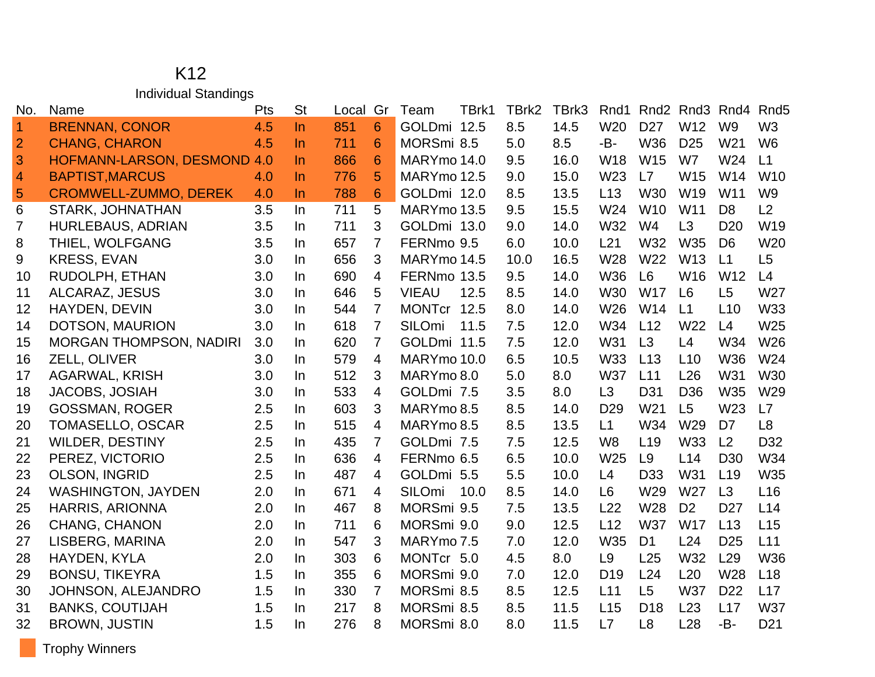#### K12 Individual Standings

| No.            | Name                           | Pts | <b>St</b> | Local | Gr             | Team          | TBrk1 | TBrk2 | TBrk3 | Rnd1            | Rnd <sub>2</sub> | Rnd3            | Rnd4            | Rnd <sub>5</sub> |
|----------------|--------------------------------|-----|-----------|-------|----------------|---------------|-------|-------|-------|-----------------|------------------|-----------------|-----------------|------------------|
| $\vert$ 1      | <b>BRENNAN, CONOR</b>          | 4.5 | $\ln$     | 851   | 6              | GOLDmi 12.5   |       | 8.5   | 14.5  | W20             | D <sub>27</sub>  | W12             | W <sub>9</sub>  | W <sub>3</sub>   |
| $\overline{2}$ | <b>CHANG, CHARON</b>           | 4.5 | $\ln$     | 711   | 6              | MORSmi 8.5    |       | 5.0   | 8.5   | -B-             | W36              | D <sub>25</sub> | W <sub>21</sub> | W <sub>6</sub>   |
| 3              | HOFMANN-LARSON, DESMOND        | 4.0 | $\ln$     | 866   | 6              | MARYmo 14.0   |       | 9.5   | 16.0  | <b>W18</b>      | W15              | W7              | W24             | L1               |
| $\overline{a}$ | <b>BAPTIST, MARCUS</b>         | 4.0 | $\ln$     | 776   | 5              | MARYmo 12.5   |       | 9.0   | 15.0  | W23             | L7               | W15             | W14             | W10              |
| $\overline{5}$ | <b>CROMWELL-ZUMMO, DEREK</b>   | 4.0 | $\ln$     | 788   | $6\phantom{1}$ | GOLDmi 12.0   |       | 8.5   | 13.5  | L13             | W30              | W19             | W11             | W <sub>9</sub>   |
| 6              | STARK, JOHNATHAN               | 3.5 | In        | 711   | 5              | MARYmo 13.5   |       | 9.5   | 15.5  | W24             | W <sub>10</sub>  | W11             | D <sub>8</sub>  | L2               |
| 7              | <b>HURLEBAUS, ADRIAN</b>       | 3.5 | $\ln$     | 711   | 3              | GOLDmi 13.0   |       | 9.0   | 14.0  | W32             | W4               | L3              | D <sub>20</sub> | W19              |
| 8              | THIEL, WOLFGANG                | 3.5 | In.       | 657   | 7              | FERNmo 9.5    |       | 6.0   | 10.0  | L21             | W32              | W35             | D <sub>6</sub>  | W20              |
| 9              | <b>KRESS, EVAN</b>             | 3.0 | In        | 656   | 3              | MARYmo 14.5   |       | 10.0  | 16.5  | W28             | W22              | W13             | L1              | L5               |
| 10             | RUDOLPH, ETHAN                 | 3.0 | In.       | 690   | 4              | FERNmo 13.5   |       | 9.5   | 14.0  | W36             | L <sub>6</sub>   | W16             | W12             | L4               |
| 11             | ALCARAZ, JESUS                 | 3.0 | In        | 646   | 5              | <b>VIEAU</b>  | 12.5  | 8.5   | 14.0  | W30             | <b>W17</b>       | L <sub>6</sub>  | L5              | W27              |
| 12             | HAYDEN, DEVIN                  | 3.0 | In.       | 544   | 7              | <b>MONTcr</b> | 12.5  | 8.0   | 14.0  | W26             | W14              | L1              | L10             | <b>W33</b>       |
| 14             | DOTSON, MAURION                | 3.0 | $\ln$     | 618   | $\overline{7}$ | SILOmi        | 11.5  | 7.5   | 12.0  | W34             | L12              | W22             | L4              | W25              |
| 15             | <b>MORGAN THOMPSON, NADIRI</b> | 3.0 | In.       | 620   | $\overline{7}$ | GOLDmi 11.5   |       | 7.5   | 12.0  | W31             | L3               | L4              | W34             | W26              |
| 16             | ZELL, OLIVER                   | 3.0 | $\ln$     | 579   | 4              | MARYmo 10.0   |       | 6.5   | 10.5  | <b>W33</b>      | L13              | L10             | <b>W36</b>      | W24              |
| 17             | <b>AGARWAL, KRISH</b>          | 3.0 | In.       | 512   | 3              | MARYmo 8.0    |       | 5.0   | 8.0   | <b>W37</b>      | L11              | L26             | W31             | W30              |
| 18             | JACOBS, JOSIAH                 | 3.0 | In        | 533   | 4              | GOLDmi 7.5    |       | 3.5   | 8.0   | L3              | D31              | D <sub>36</sub> | W35             | W29              |
| 19             | <b>GOSSMAN, ROGER</b>          | 2.5 | In.       | 603   | 3              | MARYmo 8.5    |       | 8.5   | 14.0  | D <sub>29</sub> | W <sub>21</sub>  | L5              | W <sub>23</sub> | L7               |
| 20             | TOMASELLO, OSCAR               | 2.5 | In        | 515   | $\overline{4}$ | MARYmo 8.5    |       | 8.5   | 13.5  | L1              | W34              | W29             | D7              | L <sub>8</sub>   |
| 21             | <b>WILDER, DESTINY</b>         | 2.5 | In.       | 435   | $\overline{7}$ | GOLDmi 7.5    |       | 7.5   | 12.5  | W <sub>8</sub>  | L <sub>19</sub>  | <b>W33</b>      | L2              | D32              |
| 22             | PEREZ, VICTORIO                | 2.5 | $\ln$     | 636   | 4              | FERNmo 6.5    |       | 6.5   | 10.0  | W25             | L <sub>9</sub>   | L14             | D <sub>30</sub> | W34              |
| 23             | <b>OLSON, INGRID</b>           | 2.5 | In        | 487   | 4              | GOLDmi 5.5    |       | 5.5   | 10.0  | L4              | D <sub>33</sub>  | W31             | L <sub>19</sub> | W35              |
| 24             | <b>WASHINGTON, JAYDEN</b>      | 2.0 | In.       | 671   | 4              | SILOmi        | 10.0  | 8.5   | 14.0  | L <sub>6</sub>  | W29              | W27             | L3              | L <sub>16</sub>  |
| 25             | <b>HARRIS, ARIONNA</b>         | 2.0 | In.       | 467   | 8              | MORSmi 9.5    |       | 7.5   | 13.5  | L22             | W28              | D <sub>2</sub>  | D <sub>27</sub> | L14              |
| 26             | <b>CHANG, CHANON</b>           | 2.0 | In        | 711   | 6              | MORSmi 9.0    |       | 9.0   | 12.5  | L12             | <b>W37</b>       | <b>W17</b>      | L13             | L15              |
| 27             | LISBERG, MARINA                | 2.0 | In.       | 547   | 3              | MARYmo 7.5    |       | 7.0   | 12.0  | W35             | D <sub>1</sub>   | L24             | D <sub>25</sub> | L11              |
| 28             | HAYDEN, KYLA                   | 2.0 | In        | 303   | 6              | MONTcr 5.0    |       | 4.5   | 8.0   | L <sub>9</sub>  | L25              | W32             | L29             | W36              |
| 29             | <b>BONSU, TIKEYRA</b>          | 1.5 | In.       | 355   | 6              | MORSmi 9.0    |       | 7.0   | 12.0  | D <sub>19</sub> | L24              | L20             | W28             | L <sub>18</sub>  |
| 30             | JOHNSON, ALEJANDRO             | 1.5 | In.       | 330   | $\overline{7}$ | MORSmi 8.5    |       | 8.5   | 12.5  | L11             | L5               | <b>W37</b>      | D <sub>22</sub> | L17              |
| 31             | <b>BANKS, COUTIJAH</b>         | 1.5 | In.       | 217   | 8              | MORSmi 8.5    |       | 8.5   | 11.5  | L15             | D <sub>18</sub>  | L23             | L17             | <b>W37</b>       |
| 32             | <b>BROWN, JUSTIN</b>           | 1.5 | In        | 276   | 8              | MORSmi 8.0    |       | 8.0   | 11.5  | L7              | L <sub>8</sub>   | L28             | -B-             | D <sub>21</sub>  |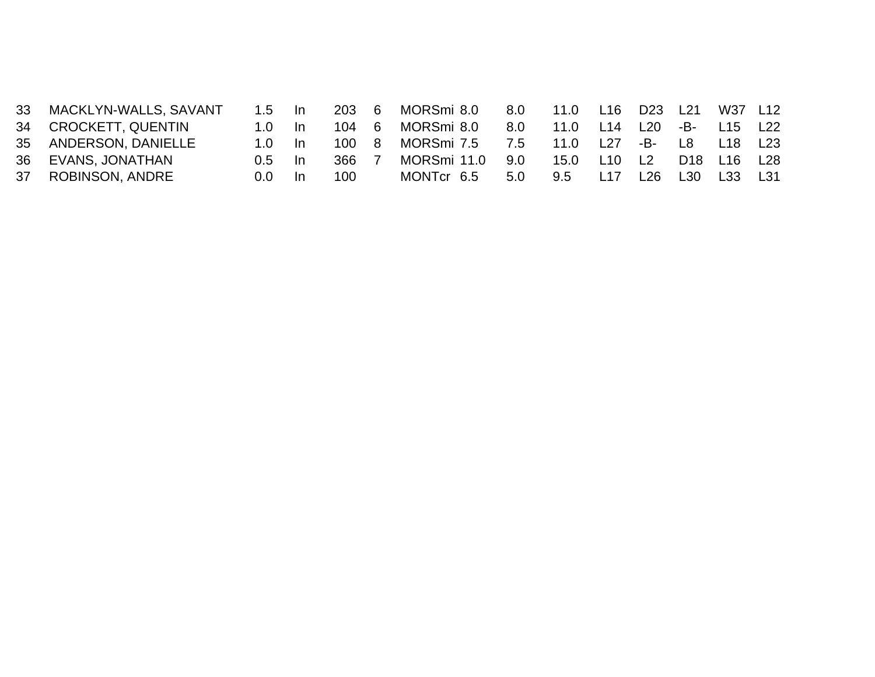| 33 MACKLYN-WALLS, SAVANT | 1.5 ln         |     | 203 | - 6 | MORSmi 8.0  | 8.0 | 11.0 L16 D23 L21 |             |     |      | W37 L12                                         |     |
|--------------------------|----------------|-----|-----|-----|-------------|-----|------------------|-------------|-----|------|-------------------------------------------------|-----|
| 34 CROCKETT, QUENTIN     | $1.0 \quad$ In |     | 104 | - 6 | MORSmi 8.0  | 8.0 | 11.0 L14 L20 -B- |             |     |      | L15 L22                                         |     |
| 35 ANDERSON, DANIELLE    | 1.0 In         |     | 100 | -8  | MORSmi 7.5  | 7.5 | 11.0 L27         |             | -B- | L8 L | L18 L23                                         |     |
| 36 EVANS, JONATHAN       | $0.5$ In       |     | 366 |     | MORSmi 11.0 | 9.0 |                  | 15.0 L10 L2 |     |      | D <sub>18</sub> L <sub>16</sub> L <sub>28</sub> |     |
| 37 ROBINSON, ANDRE       | 0.0            | -In | 100 |     | MONTcr 6.5  | 5.0 | $9.5^{\circ}$    | L17         | L26 | L30  | L33                                             | L31 |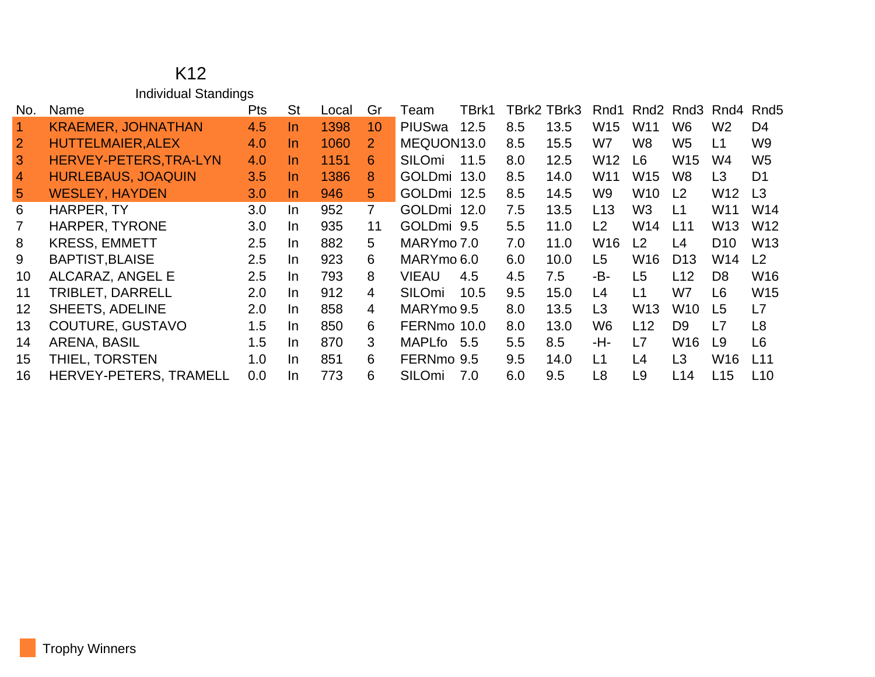#### K12 Individual Standings

| No.             | Name                      | Pts | St  | Local | Gr             | Team          | TBrk1 |     | TBrk2 TBrk3 | Rnd1            | Rnd <sub>2</sub> | Rnd3            | Rnd4            | Rnd <sub>5</sub> |
|-----------------|---------------------------|-----|-----|-------|----------------|---------------|-------|-----|-------------|-----------------|------------------|-----------------|-----------------|------------------|
| $\overline{1}$  | <b>KRAEMER, JOHNATHAN</b> | 4.5 | In. | 1398  | 10             | PIUSwa        | 12.5  | 8.5 | 13.5        | W <sub>15</sub> | W <sub>11</sub>  | W <sub>6</sub>  | W <sub>2</sub>  | D <sub>4</sub>   |
|                 | <b>HUTTELMAIER, ALEX</b>  | 4.0 | In. | 1060  | 2              | MEQUON13.0    |       | 8.5 | 15.5        | W7              | W8               | W <sub>5</sub>  | L1              | W <sub>9</sub>   |
| 3               | HERVEY-PETERS, TRA-LYN    | 4.0 | In. | 1151  | 6              | SILOmi        | 11.5  | 8.0 | 12.5        | W12             | L <sub>6</sub>   | W15             | W4              | W <sub>5</sub>   |
| $\overline{4}$  | <b>HURLEBAUS, JOAQUIN</b> | 3.5 | In. | 1386  | 8              | GOLDmi 13.0   |       | 8.5 | 14.0        | W <sub>11</sub> | W <sub>15</sub>  | W8              | L <sub>3</sub>  | D <sub>1</sub>   |
| $5\phantom{.0}$ | <b>WESLEY, HAYDEN</b>     | 3.0 | In. | 946   | 5 <sup>1</sup> | GOLDmi 12.5   |       | 8.5 | 14.5        | W9              | W <sub>10</sub>  | L <sub>2</sub>  | W12             | L <sub>3</sub>   |
| 6               | HARPER, TY                | 3.0 | In. | 952   | $\overline{7}$ | GOLDmi 12.0   |       | 7.5 | 13.5        | L13             | W <sub>3</sub>   | L1              | W11             | W14              |
|                 | <b>HARPER, TYRONE</b>     | 3.0 | In. | 935   | 11             | GOLDmi 9.5    |       | 5.5 | 11.0        | L2              | W <sub>14</sub>  | L11             | W13             | W <sub>12</sub>  |
| 8               | <b>KRESS, EMMETT</b>      | 2.5 | In. | 882   | 5              | MARYmo 7.0    |       | 7.0 | 11.0        | W <sub>16</sub> | L2               | L4              | D <sub>10</sub> | W <sub>13</sub>  |
| 9               | <b>BAPTIST, BLAISE</b>    | 2.5 | In. | 923   | 6              | MARYmo 6.0    |       | 6.0 | 10.0        | L <sub>5</sub>  | W <sub>16</sub>  | D <sub>13</sub> | W14             | L <sub>2</sub>   |
| 10              | ALCARAZ, ANGEL E          | 2.5 | In. | 793   | 8              | VIEAU         | 4.5   | 4.5 | 7.5         | -B-             | L <sub>5</sub>   | L12             | D <sub>8</sub>  | W <sub>16</sub>  |
| 11              | <b>TRIBLET, DARRELL</b>   | 2.0 | In. | 912   | 4              | <b>SILOmi</b> | 10.5  | 9.5 | 15.0        | L4              | L1               | W7              | L6              | W <sub>15</sub>  |
| 12              | <b>SHEETS, ADELINE</b>    | 2.0 | In. | 858   | 4              | MARYmo 9.5    |       | 8.0 | 13.5        | L3              | W <sub>13</sub>  | W10             | L5              | L7               |
| 13              | COUTURE, GUSTAVO          | 1.5 | In. | 850   | 6              | FERNmo 10.0   |       | 8.0 | 13.0        | W <sub>6</sub>  | L12              | D <sub>9</sub>  | L7              | L8               |
| 14              | ARENA, BASIL              | 1.5 | In. | 870   | 3              | MAPLfo 5.5    |       | 5.5 | 8.5         | -H-             | L7               | W16             | L9              | L6               |
| 15              | THIEL, TORSTEN            | 1.0 | In. | 851   | 6              | FERNmo 9.5    |       | 9.5 | 14.0        | $\overline{11}$ | L4               | L <sub>3</sub>  | W16             | L11              |
| 16              | HERVEY-PETERS, TRAMELL    | 0.0 | In. | 773   | 6              | SILOmi        | 7.0   | 6.0 | 9.5         | L8              | L9               | L14             | L15             | L10              |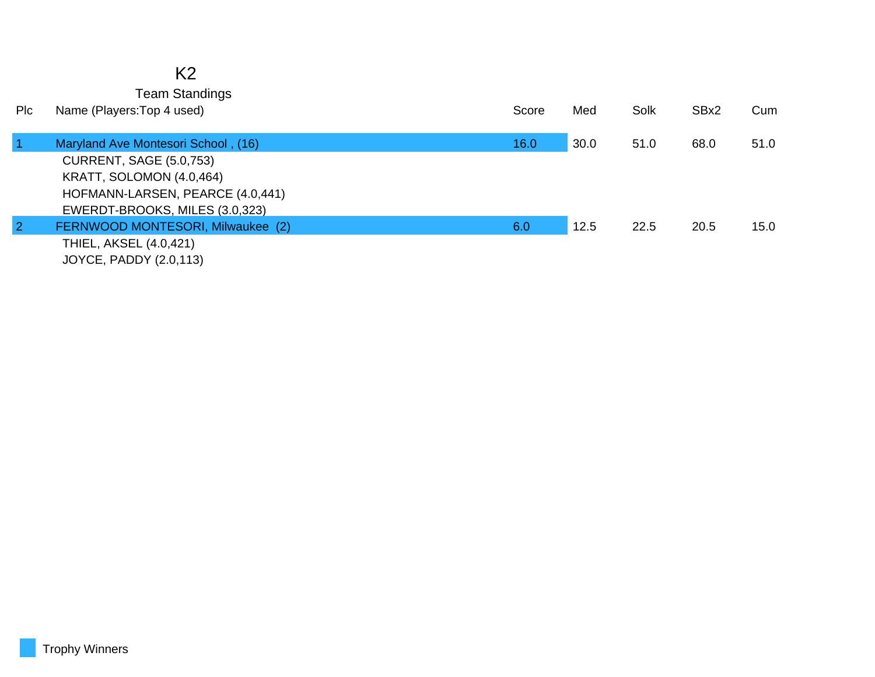|                         | K <sub>2</sub><br><b>Team Standings</b>                                                                                                                                 |       |      |      |      |      |
|-------------------------|-------------------------------------------------------------------------------------------------------------------------------------------------------------------------|-------|------|------|------|------|
| Plc                     | Name (Players: Top 4 used)                                                                                                                                              | Score | Med  | Solk | SBx2 | Cum  |
| $\overline{\mathbf{1}}$ | Maryland Ave Montesori School, (16)<br><b>CURRENT, SAGE (5.0,753)</b><br>KRATT, SOLOMON (4.0,464)<br>HOFMANN-LARSEN, PEARCE (4.0,441)<br>EWERDT-BROOKS, MILES (3.0,323) | 16.0  | 30.0 | 51.0 | 68.0 | 51.0 |
| $\overline{2}$          | FERNWOOD MONTESORI, Milwaukee (2)<br>THIEL, AKSEL (4.0,421)<br>JOYCE, PADDY (2.0,113)                                                                                   | 6.0   | 12.5 | 22.5 | 20.5 | 15.0 |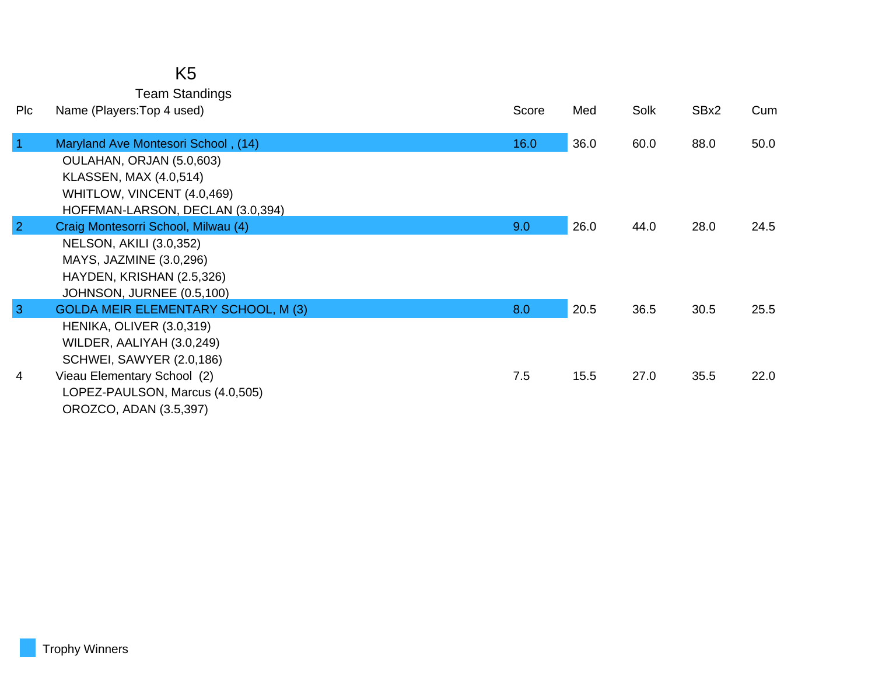| K5                    |  |
|-----------------------|--|
| <b>Team Standings</b> |  |

| <b>PIc</b>     | Name (Players: Top 4 used)                 | Score | Med  | Solk | SBx2 | Cum  |
|----------------|--------------------------------------------|-------|------|------|------|------|
| $\vert$ 1      | Maryland Ave Montesori School, (14)        | 16.0  | 36.0 | 60.0 | 88.0 | 50.0 |
|                | OULAHAN, ORJAN (5.0,603)                   |       |      |      |      |      |
|                | <b>KLASSEN, MAX (4.0,514)</b>              |       |      |      |      |      |
|                | WHITLOW, VINCENT (4.0,469)                 |       |      |      |      |      |
|                | HOFFMAN-LARSON, DECLAN (3.0,394)           |       |      |      |      |      |
| $\overline{2}$ | Craig Montesorri School, Milwau (4)        | 9.0   | 26.0 | 44.0 | 28.0 | 24.5 |
|                | <b>NELSON, AKILI (3.0,352)</b>             |       |      |      |      |      |
|                | MAYS, JAZMINE (3.0,296)                    |       |      |      |      |      |
|                | HAYDEN, KRISHAN (2.5,326)                  |       |      |      |      |      |
|                | JOHNSON, JURNEE (0.5,100)                  |       |      |      |      |      |
| $\overline{3}$ | <b>GOLDA MEIR ELEMENTARY SCHOOL, M (3)</b> | 8.0   | 20.5 | 36.5 | 30.5 | 25.5 |
|                | HENIKA, OLIVER (3.0,319)                   |       |      |      |      |      |
|                | WILDER, AALIYAH (3.0,249)                  |       |      |      |      |      |
|                | <b>SCHWEI, SAWYER (2.0,186)</b>            |       |      |      |      |      |
| $\overline{4}$ | Vieau Elementary School (2)                | 7.5   | 15.5 | 27.0 | 35.5 | 22.0 |
|                | LOPEZ-PAULSON, Marcus (4.0,505)            |       |      |      |      |      |
|                | OROZCO, ADAN (3.5,397)                     |       |      |      |      |      |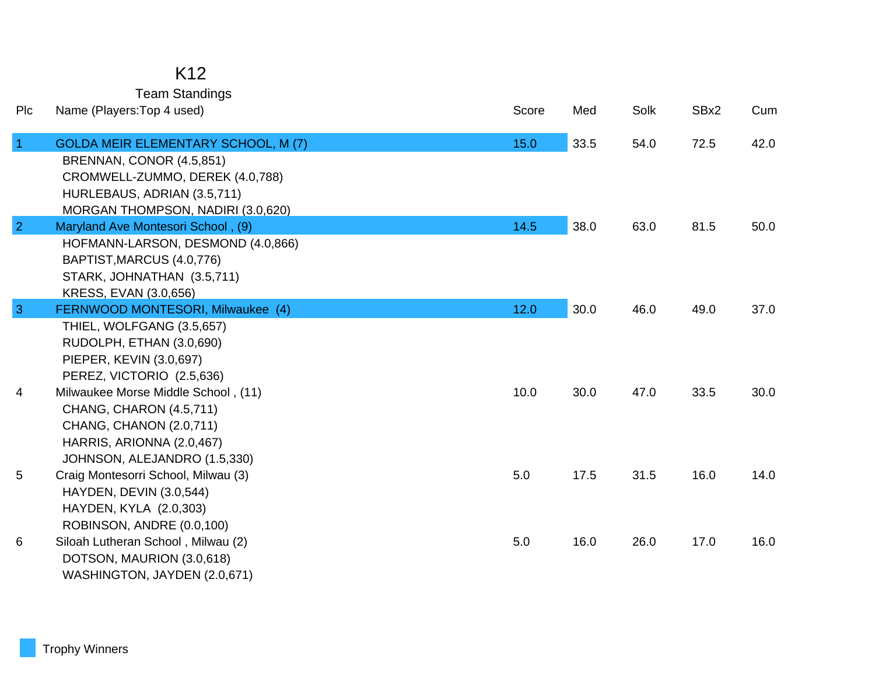### K12

Team Standings

| Plc            | Name (Players: Top 4 used)                 | Score | Med  | Solk | SBx2 | Cum  |
|----------------|--------------------------------------------|-------|------|------|------|------|
| $\overline{1}$ | <b>GOLDA MEIR ELEMENTARY SCHOOL, M (7)</b> | 15.0  | 33.5 | 54.0 | 72.5 | 42.0 |
|                | BRENNAN, CONOR (4.5,851)                   |       |      |      |      |      |
|                | CROMWELL-ZUMMO, DEREK (4.0,788)            |       |      |      |      |      |
|                | HURLEBAUS, ADRIAN (3.5,711)                |       |      |      |      |      |
|                | MORGAN THOMPSON, NADIRI (3.0,620)          |       |      |      |      |      |
| $\overline{2}$ | Maryland Ave Montesori School, (9)         | 14.5  | 38.0 | 63.0 | 81.5 | 50.0 |
|                | HOFMANN-LARSON, DESMOND (4.0,866)          |       |      |      |      |      |
|                | BAPTIST, MARCUS (4.0, 776)                 |       |      |      |      |      |
|                | STARK, JOHNATHAN (3.5,711)                 |       |      |      |      |      |
|                | KRESS, EVAN (3.0,656)                      |       |      |      |      |      |
| $\overline{3}$ | FERNWOOD MONTESORI, Milwaukee (4)          | 12.0  | 30.0 | 46.0 | 49.0 | 37.0 |
|                | THIEL, WOLFGANG (3.5,657)                  |       |      |      |      |      |
|                | RUDOLPH, ETHAN (3.0,690)                   |       |      |      |      |      |
|                | PIEPER, KEVIN (3.0,697)                    |       |      |      |      |      |
|                | PEREZ, VICTORIO (2.5,636)                  |       |      |      |      |      |
| 4              | Milwaukee Morse Middle School, (11)        | 10.0  | 30.0 | 47.0 | 33.5 | 30.0 |
|                | CHANG, CHARON (4.5,711)                    |       |      |      |      |      |
|                | CHANG, CHANON (2.0,711)                    |       |      |      |      |      |
|                | HARRIS, ARIONNA (2.0,467)                  |       |      |      |      |      |
|                | JOHNSON, ALEJANDRO (1.5,330)               |       |      |      |      |      |
| 5              | Craig Montesorri School, Milwau (3)        | 5.0   | 17.5 | 31.5 | 16.0 | 14.0 |
|                | <b>HAYDEN, DEVIN (3.0,544)</b>             |       |      |      |      |      |
|                | HAYDEN, KYLA (2.0,303)                     |       |      |      |      |      |
|                | ROBINSON, ANDRE (0.0,100)                  |       |      |      |      |      |
| 6              | Siloah Lutheran School, Milwau (2)         | 5.0   | 16.0 | 26.0 | 17.0 | 16.0 |
|                | DOTSON, MAURION (3.0,618)                  |       |      |      |      |      |
|                | WASHINGTON, JAYDEN (2.0,671)               |       |      |      |      |      |